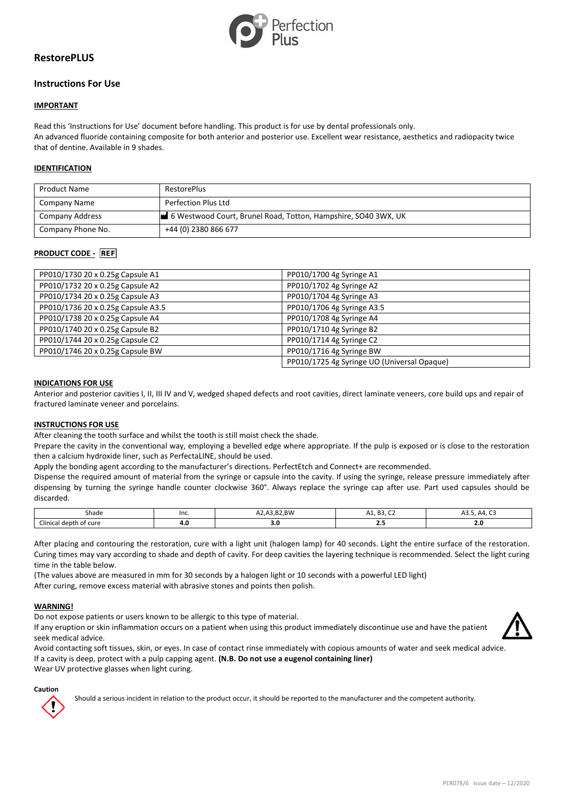

# **RestorePLUS**

# **Instructions For Use**

## **IMPORTANT**

Read this 'Instructions for Use' document before handling. This product is for use by dental professionals only. An advanced fluoride containing composite for both anterior and posterior use. Excellent wear resistance, aesthetics and radiopacity twice that of dentine. Available in 9 shades.

### **IDENTIFICATION**

| <b>Product Name</b> | <b>RestorePlus</b>                                             |
|---------------------|----------------------------------------------------------------|
| Company Name        | Perfection Plus Ltd                                            |
| Company Address     | 6 Westwood Court, Brunel Road, Totton, Hampshire, SO40 3WX, UK |
| Company Phone No.   | +44 (0) 2380 866 677                                           |

## **PRODUCT CODE -** REF

| PP010/1730 20 x 0.25g Capsule A1   | PP010/1700 4g Syringe A1                    |
|------------------------------------|---------------------------------------------|
| PP010/1732 20 x 0.25g Capsule A2   | PP010/1702 4g Syringe A2                    |
| PP010/1734 20 x 0.25g Capsule A3   | PP010/1704 4g Syringe A3                    |
| PP010/1736 20 x 0.25g Capsule A3.5 | PP010/1706 4g Syringe A3.5                  |
| PP010/1738 20 x 0.25g Capsule A4   | PP010/1708 4g Syringe A4                    |
| PP010/1740 20 x 0.25g Capsule B2   | PP010/1710 4g Syringe B2                    |
| PP010/1744 20 x 0.25g Capsule C2   | PP010/1714 4g Syringe C2                    |
| PP010/1746 20 x 0.25g Capsule BW   | PP010/1716 4g Syringe BW                    |
|                                    | PP010/1725 4g Syringe UO (Universal Opaque) |

#### **INDICATIONS FOR USE**

Anterior and posterior cavities I, II, III IV and V, wedged shaped defects and root cavities, direct laminate veneers, core build ups and repair of fractured laminate veneer and porcelains.

#### **INSTRUCTIONS FOR USE**

After cleaning the tooth surface and whilst the tooth is still moist check the shade.

Prepare the cavity in the conventional way, employing a bevelled edge where appropriate. If the pulp is exposed or is close to the restoration then a calcium hydroxide liner, such as PerfectaLINE, should be used.

Apply the bonding agent according to the manufacturer's directions. PerfectEtch and Connect+ are recommended.

Dispense the required amount of material from the syringe or capsule into the cavity. If using the syringe, release pressure immediately after dispensing by turning the syringe handle counter clockwise 360°. Always replace the syringe cap after use. Part used capsules should be discarded.

| Shade                                              | Inc. | A3.B2.BW<br>AZ.F. | $\sim$<br>כם<br>н<br>ᇺ<br>. | --<br>$\sim$<br>$\Delta A$<br>$\mathbf{v}$ |
|----------------------------------------------------|------|-------------------|-----------------------------|--------------------------------------------|
| $\sim$<br>i depth<br>of cure ו<br>:Imica<br>acar 1 | 4.0  | 3.0               |                             | <b>2.V</b>                                 |

After placing and contouring the restoration, cure with a light unit (halogen lamp) for 40 seconds. Light the entire surface of the restoration. Curing times may vary according to shade and depth of cavity. For deep cavities the layering technique is recommended. Select the light curing time in the table below.

(The values above are measured in mm for 30 seconds by a halogen light or 10 seconds with a powerful LED light) After curing, remove excess material with abrasive stones and points then polish.

## **WARNING!**

Do not expose patients or users known to be allergic to this type of material.

If any eruption or skin inflammation occurs on a patient when using this product immediately discontinue use and have the patient seek medical advice.



Avoid contacting soft tissues, skin, or eyes. In case of contact rinse immediately with copious amounts of water and seek medical advice. If a cavity is deep, protect with a pulp capping agent. **(N.B. Do not use a eugenol containing liner)** Wear UV protective glasses when light curing.

#### **Caution**

Should a serious incident in relation to the product occur, it should be reported to the manufacturer and the competent authority.